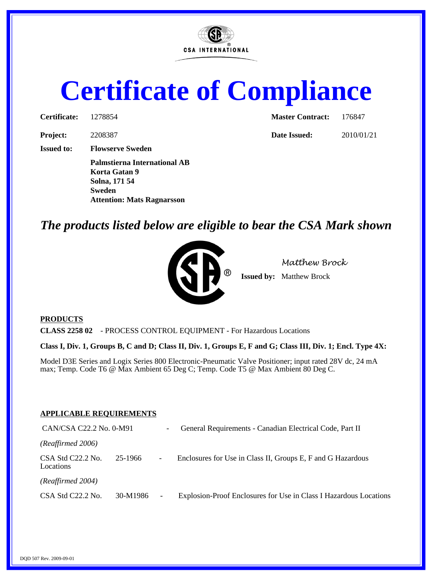

## **Certificate of Compliance**

| Certificate:      | 1278854                                                               | <b>Master Contract:</b> | 176847 |  |  |  |
|-------------------|-----------------------------------------------------------------------|-------------------------|--------|--|--|--|
| <b>Project:</b>   | 2208387                                                               | Date Issued:            | 2010/0 |  |  |  |
| <b>Issued to:</b> | <b>Flowserve Sweden</b>                                               |                         |        |  |  |  |
|                   | <b>Palmstierna International AB</b><br>Korta Gatan 9<br>Solna, 171 54 |                         |        |  |  |  |
|                   | <b>Sweden</b><br><b>Attention: Mats Ragnarsson</b>                    |                         |        |  |  |  |

| <b>Master Contract:</b> | 176847 |
|-------------------------|--------|
|                         |        |

**Pate Issued:** 2010/01/21

## *The products listed below are eligible to bear the CSA Mark shown*



*Matthew Brock*

**Issued by:** Matthew Brock

## **PRODUCTS**

**CLASS 2258 02** - PROCESS CONTROL EQUIPMENT - For Hazardous Locations

**Class I, Div. 1, Groups B, C and D; Class II, Div. 1, Groups E, F and G; Class III, Div. 1; Encl. Type 4X:**

Model D3E Series and Logix Series 800 Electronic-Pneumatic Valve Positioner; input rated 28V dc, 24 mA max; Temp. Code T6 @ Max Ambient 65 Deg C; Temp. Code T5 @ Max Ambient 80 Deg C.

## **APPLICABLE REQUIREMENTS**

| CAN/CSA C22.2 No. 0-M91<br>$\overline{\phantom{a}}$ |          |                          | General Requirements - Canadian Electrical Code, Part II          |  |
|-----------------------------------------------------|----------|--------------------------|-------------------------------------------------------------------|--|
| (Reaffirmed 2006)                                   |          |                          |                                                                   |  |
| CSA Std C22.2 No.<br>Locations                      | 25-1966  | $\overline{\phantom{0}}$ | Enclosures for Use in Class II, Groups E, F and G Hazardous       |  |
| (Reaffirmed 2004)                                   |          |                          |                                                                   |  |
| CSA Std C22.2 No.                                   | 30-M1986 | $\overline{\phantom{a}}$ | Explosion-Proof Enclosures for Use in Class I Hazardous Locations |  |